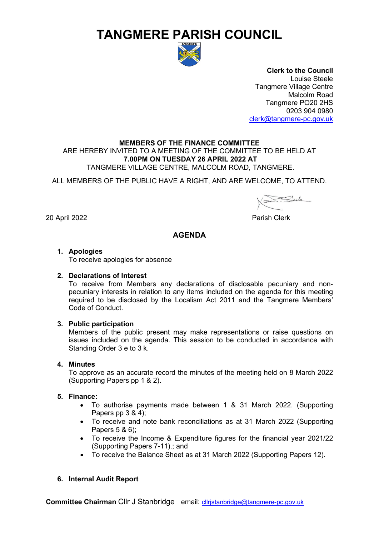# **TANGMERE PARISH COUNCIL**



**Clerk to the Council** Louise Steele Tangmere Village Centre Malcolm Road Tangmere PO20 2HS 0203 904 0980 [clerk@tangmere-pc.gov.uk](mailto:clerk@tangmere-pc.gov.uk)

## **MEMBERS OF THE FINANCE COMMITTEE**

ARE HEREBY INVITED TO A MEETING OF THE COMMITTEE TO BE HELD AT **7.00PM ON TUESDAY 26 APRIL 2022 AT** TANGMERE VILLAGE CENTRE, MALCOLM ROAD, TANGMERE.

ALL MEMBERS OF THE PUBLIC HAVE A RIGHT, AND ARE WELCOME, TO ATTEND.

20 April 2022 Parish Clerk

## **AGENDA**

## **1. Apologies**

To receive apologies for absence

#### **2. Declarations of Interest**

To receive from Members any declarations of disclosable pecuniary and nonpecuniary interests in relation to any items included on the agenda for this meeting required to be disclosed by the Localism Act 2011 and the Tangmere Members' Code of Conduct.

## **3. Public participation**

Members of the public present may make representations or raise questions on issues included on the agenda. This session to be conducted in accordance with Standing Order 3 e to 3 k.

## **4. Minutes**

To approve as an accurate record the minutes of the meeting held on 8 March 2022 (Supporting Papers pp 1 & 2).

## **5. Finance:**

- To authorise payments made between 1 & 31 March 2022. (Supporting Papers pp 3 & 4);
- To receive and note bank reconciliations as at 31 March 2022 (Supporting Papers 5 & 6);
- To receive the Income & Expenditure figures for the financial year 2021/22 (Supporting Papers 7-11).; and
- To receive the Balance Sheet as at 31 March 2022 (Supporting Papers 12).

## **6. Internal Audit Report**

**Committee Chairman** Cllr J Stanbridge email: [cllrjstanbridge@tangmere-pc.gov.uk](mailto:cllrjstanbridge@tangmere-pc.gov.uk)